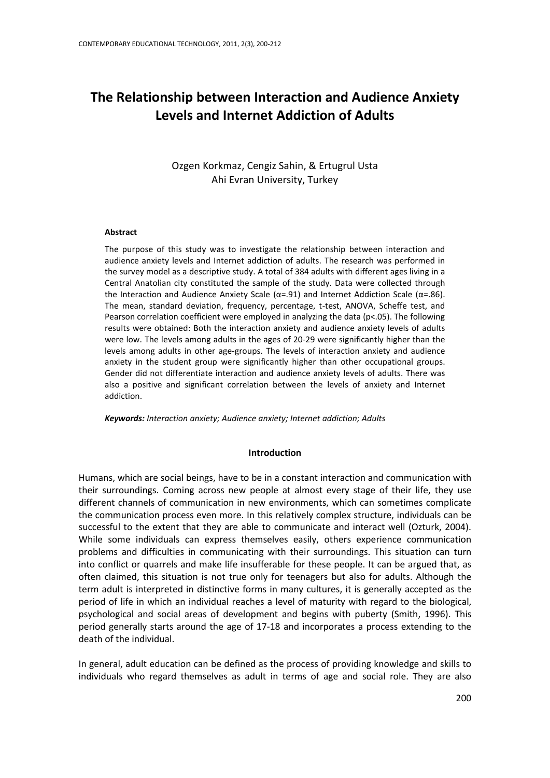# **The Relationship between Interaction and Audience Anxiety Levels and Internet Addiction of Adults**

Ozgen Korkmaz, Cengiz Sahin, & Ertugrul Usta Ahi Evran University, Turkey

#### **Abstract**

The purpose of this study was to investigate the relationship between interaction and audience anxiety levels and Internet addiction of adults. The research was performed in the survey model as a descriptive study. A total of 384 adults with different ages living in a Central Anatolian city constituted the sample of the study. Data were collected through the Interaction and Audience Anxiety Scale (α=.91) and Internet Addiction Scale (α=.86). The mean, standard deviation, frequency, percentage, t-test, ANOVA, Scheffe test, and Pearson correlation coefficient were employed in analyzing the data (p<.05). The following results were obtained: Both the interaction anxiety and audience anxiety levels of adults were low. The levels among adults in the ages of 20-29 were significantly higher than the levels among adults in other age-groups. The levels of interaction anxiety and audience anxiety in the student group were significantly higher than other occupational groups. Gender did not differentiate interaction and audience anxiety levels of adults. There was also a positive and significant correlation between the levels of anxiety and Internet addiction.

*Keywords: Interaction anxiety; Audience anxiety; Internet addiction; Adults*

#### **Introduction**

Humans, which are social beings, have to be in a constant interaction and communication with their surroundings. Coming across new people at almost every stage of their life, they use different channels of communication in new environments, which can sometimes complicate the communication process even more. In this relatively complex structure, individuals can be successful to the extent that they are able to communicate and interact well (Ozturk, 2004). While some individuals can express themselves easily, others experience communication problems and difficulties in communicating with their surroundings. This situation can turn into conflict or quarrels and make life insufferable for these people. It can be argued that, as often claimed, this situation is not true only for teenagers but also for adults. Although the term adult is interpreted in distinctive forms in many cultures, it is generally accepted as the period of life in which an individual reaches a level of maturity with regard to the biological, psychological and social areas of development and begins with puberty (Smith, 1996). This period generally starts around the age of 17-18 and incorporates a process extending to the death of the individual.

In general, adult education can be defined as the process of providing knowledge and skills to individuals who regard themselves as adult in terms of age and social role. They are also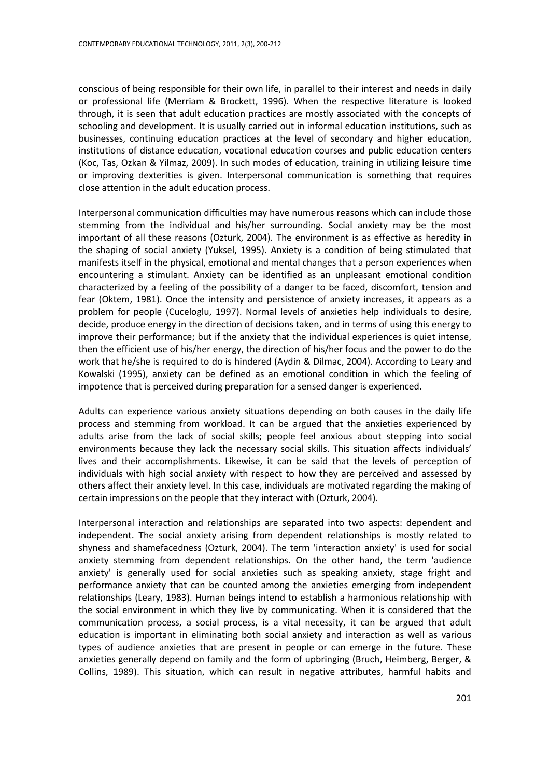conscious of being responsible for their own life, in parallel to their interest and needs in daily or professional life (Merriam & Brockett, 1996). When the respective literature is looked through, it is seen that adult education practices are mostly associated with the concepts of schooling and development. It is usually carried out in informal education institutions, such as businesses, continuing education practices at the level of secondary and higher education, institutions of distance education, vocational education courses and public education centers (Koc, Tas, Ozkan & Yilmaz, 2009). In such modes of education, training in utilizing leisure time or improving dexterities is given. Interpersonal communication is something that requires close attention in the adult education process.

Interpersonal communication difficulties may have numerous reasons which can include those stemming from the individual and his/her surrounding. Social anxiety may be the most important of all these reasons (Ozturk, 2004). The environment is as effective as heredity in the shaping of social anxiety (Yuksel, 1995). Anxiety is a condition of being stimulated that manifests itself in the physical, emotional and mental changes that a person experiences when encountering a stimulant. Anxiety can be identified as an unpleasant emotional condition characterized by a feeling of the possibility of a danger to be faced, discomfort, tension and fear (Oktem, 1981). Once the intensity and persistence of anxiety increases, it appears as a problem for people (Cuceloglu, 1997). Normal levels of anxieties help individuals to desire, decide, produce energy in the direction of decisions taken, and in terms of using this energy to improve their performance; but if the anxiety that the individual experiences is quiet intense, then the efficient use of his/her energy, the direction of his/her focus and the power to do the work that he/she is required to do is hindered (Aydin & Dilmac, 2004). According to Leary and Kowalski (1995), anxiety can be defined as an emotional condition in which the feeling of impotence that is perceived during preparation for a sensed danger is experienced.

Adults can experience various anxiety situations depending on both causes in the daily life process and stemming from workload. It can be argued that the anxieties experienced by adults arise from the lack of social skills; people feel anxious about stepping into social environments because they lack the necessary social skills. This situation affects individuals' lives and their accomplishments. Likewise, it can be said that the levels of perception of individuals with high social anxiety with respect to how they are perceived and assessed by others affect their anxiety level. In this case, individuals are motivated regarding the making of certain impressions on the people that they interact with (Ozturk, 2004).

Interpersonal interaction and relationships are separated into two aspects: dependent and independent. The social anxiety arising from dependent relationships is mostly related to shyness and shamefacedness (Ozturk, 2004). The term 'interaction anxiety' is used for social anxiety stemming from dependent relationships. On the other hand, the term 'audience anxiety' is generally used for social anxieties such as speaking anxiety, stage fright and performance anxiety that can be counted among the anxieties emerging from independent relationships (Leary, 1983). Human beings intend to establish a harmonious relationship with the social environment in which they live by communicating. When it is considered that the communication process, a social process, is a vital necessity, it can be argued that adult education is important in eliminating both social anxiety and interaction as well as various types of audience anxieties that are present in people or can emerge in the future. These anxieties generally depend on family and the form of upbringing (Bruch, Heimberg, Berger, & Collins, 1989). This situation, which can result in negative attributes, harmful habits and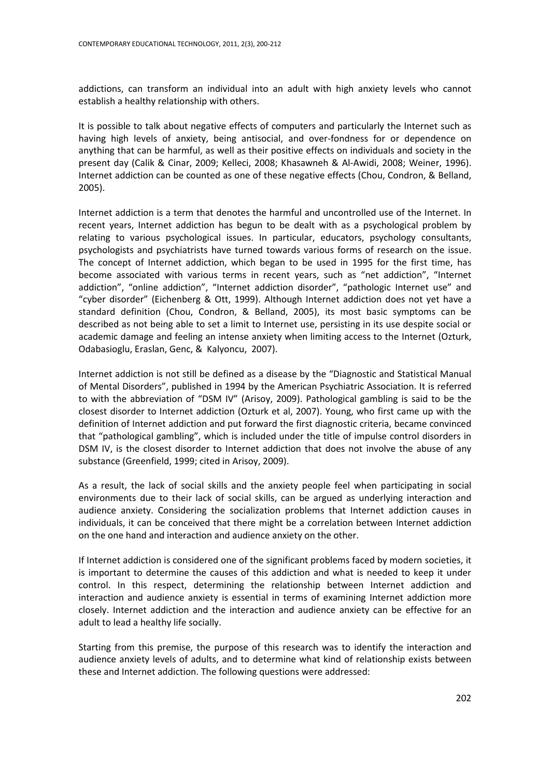addictions, can transform an individual into an adult with high anxiety levels who cannot establish a healthy relationship with others.

It is possible to talk about negative effects of computers and particularly the Internet such as having high levels of anxiety, being antisocial, and over-fondness for or dependence on anything that can be harmful, as well as their positive effects on individuals and society in the present day (Calik & Cinar, 2009; Kelleci, 2008; Khasawneh & Al-Awidi, 2008; Weiner, 1996). Internet addiction can be counted as one of these negative effects (Chou, Condron, & Belland, 2005).

Internet addiction is a term that denotes the harmful and uncontrolled use of the Internet. In recent years, Internet addiction has begun to be dealt with as a psychological problem by relating to various psychological issues. In particular, educators, psychology consultants, psychologists and psychiatrists have turned towards various forms of research on the issue. The concept of Internet addiction, which began to be used in 1995 for the first time, has become associated with various terms in recent years, such as "net addiction", "Internet addiction", "online addiction", "Internet addiction disorder", "pathologic Internet use" and "cyber disorder" (Eichenberg & Ott, 1999). Although Internet addiction does not yet have a standard definition (Chou, Condron, & Belland, 2005), its most basic symptoms can be described as not being able to set a limit to Internet use, persisting in its use despite social or academic damage and feeling an intense anxiety when limiting access to the Internet (Ozturk, Odabasioglu, Eraslan, Genc, & Kalyoncu, 2007).

Internet addiction is not still be defined as a disease by the "Diagnostic and Statistical Manual of Mental Disorders", published in 1994 by the American Psychiatric Association. It is referred to with the abbreviation of "DSM IV" (Arisoy, 2009). Pathological gambling is said to be the closest disorder to Internet addiction (Ozturk et al, 2007). Young, who first came up with the definition of Internet addiction and put forward the first diagnostic criteria, became convinced that "pathological gambling", which is included under the title of impulse control disorders in DSM IV, is the closest disorder to Internet addiction that does not involve the abuse of any substance (Greenfield, 1999; cited in Arisoy, 2009).

As a result, the lack of social skills and the anxiety people feel when participating in social environments due to their lack of social skills, can be argued as underlying interaction and audience anxiety. Considering the socialization problems that Internet addiction causes in individuals, it can be conceived that there might be a correlation between Internet addiction on the one hand and interaction and audience anxiety on the other.

If Internet addiction is considered one of the significant problems faced by modern societies, it is important to determine the causes of this addiction and what is needed to keep it under control. In this respect, determining the relationship between Internet addiction and interaction and audience anxiety is essential in terms of examining Internet addiction more closely. Internet addiction and the interaction and audience anxiety can be effective for an adult to lead a healthy life socially.

Starting from this premise, the purpose of this research was to identify the interaction and audience anxiety levels of adults, and to determine what kind of relationship exists between these and Internet addiction. The following questions were addressed: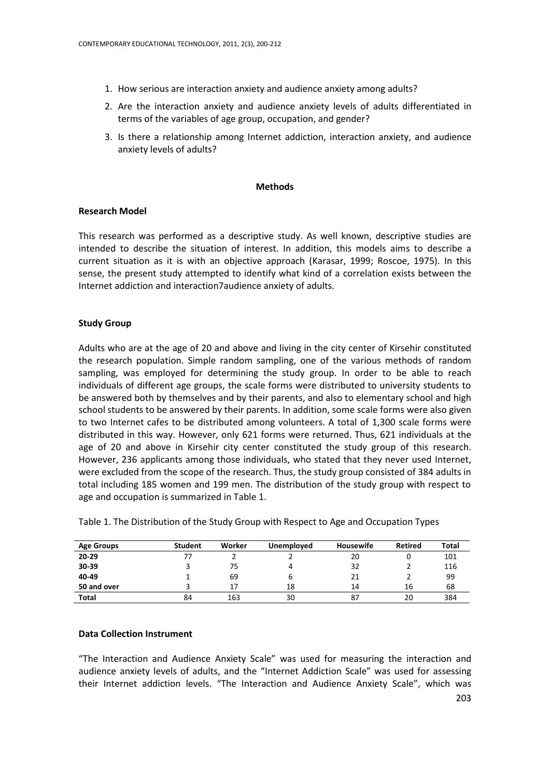- 1. How serious are interaction anxiety and audience anxiety among adults?
- 2. Are the interaction anxiety and audience anxiety levels of adults differentiated in terms of the variables of age group, occupation, and gender?
- 3. Is there a relationship among Internet addiction, interaction anxiety, and audience anxiety levels of adults?

#### **Methods**

#### **Research Model**

This research was performed as a descriptive study. As well known, descriptive studies are intended to describe the situation of interest. In addition, this models aims to describe a current situation as it is with an objective approach (Karasar, 1999; Roscoe, 1975). In this sense, the present study attempted to identify what kind of a correlation exists between the Internet addiction and interaction7audience anxiety of adults.

# **Study Group**

Adults who are at the age of 20 and above and living in the city center of Kirsehir constituted the research population. Simple random sampling, one of the various methods of random sampling, was employed for determining the study group. In order to be able to reach individuals of different age groups, the scale forms were distributed to university students to be answered both by themselves and by their parents, and also to elementary school and high school students to be answered by their parents. In addition, some scale forms were also given to two Internet cafes to be distributed among volunteers. A total of 1,300 scale forms were distributed in this way. However, only 621 forms were returned. Thus, 621 individuals at the age of 20 and above in Kirsehir city center constituted the study group of this research. However, 236 applicants among those individuals, who stated that they never used Internet, were excluded from the scope of the research. Thus, the study group consisted of 384 adults in total including 185 women and 199 men. The distribution of the study group with respect to age and occupation is summarized in Table 1.

| <b>Age Groups</b> | <b>Student</b> | Worker | <b>Unemployed</b> | <b>Housewife</b> | <b>Retired</b> | <b>Total</b> |
|-------------------|----------------|--------|-------------------|------------------|----------------|--------------|
| $20 - 29$         |                |        |                   | 20               |                | 101          |
| 30-39             |                | 75     |                   | 32               |                | 116          |
| 40-49             |                | 69     |                   | 21               |                | 99           |
| 50 and over       |                | 17     | 18                | 14               | 16             | 68           |
| <b>Total</b>      | 84             | 163    | 30                | 87               | 20             | 384          |

Table 1. The Distribution of the Study Group with Respect to Age and Occupation Types

#### **Data Collection Instrument**

"The Interaction and Audience Anxiety Scale" was used for measuring the interaction and audience anxiety levels of adults, and the "Internet Addiction Scale" was used for assessing their Internet addiction levels. "The Interaction and Audience Anxiety Scale", which was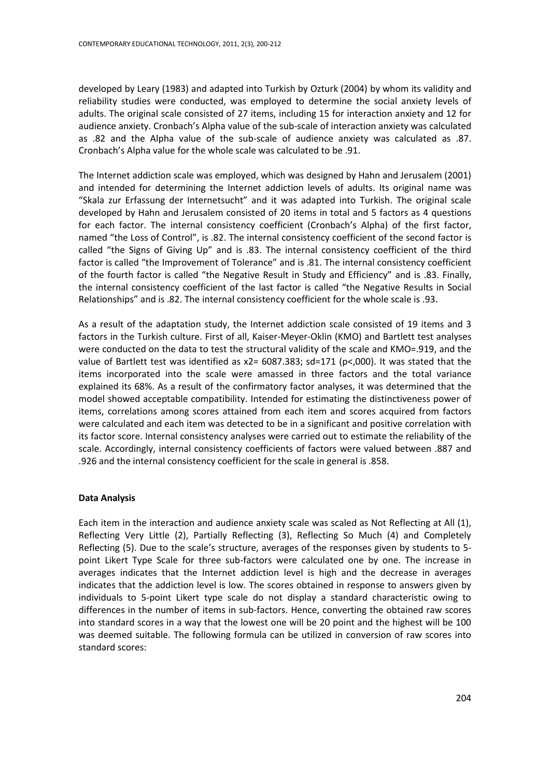developed by Leary (1983) and adapted into Turkish by Ozturk (2004) by whom its validity and reliability studies were conducted, was employed to determine the social anxiety levels of adults. The original scale consisted of 27 items, including 15 for interaction anxiety and 12 for audience anxiety. Cronbach's Alpha value of the sub-scale of interaction anxiety was calculated as .82 and the Alpha value of the sub-scale of audience anxiety was calculated as .87. Cronbach's Alpha value for the whole scale was calculated to be .91.

The Internet addiction scale was employed, which was designed by Hahn and Jerusalem (2001) and intended for determining the Internet addiction levels of adults. Its original name was "Skala zur Erfassung der Internetsucht" and it was adapted into Turkish. The original scale developed by Hahn and Jerusalem consisted of 20 items in total and 5 factors as 4 questions for each factor. The internal consistency coefficient (Cronbach's Alpha) of the first factor, named "the Loss of Control", is .82. The internal consistency coefficient of the second factor is called "the Signs of Giving Up" and is .83. The internal consistency coefficient of the third factor is called "the Improvement of Tolerance" and is .81. The internal consistency coefficient of the fourth factor is called "the Negative Result in Study and Efficiency" and is .83. Finally, the internal consistency coefficient of the last factor is called "the Negative Results in Social Relationships" and is .82. The internal consistency coefficient for the whole scale is .93.

As a result of the adaptation study, the Internet addiction scale consisted of 19 items and 3 factors in the Turkish culture. First of all, Kaiser-Meyer-Oklin (KMO) and Bartlett test analyses were conducted on the data to test the structural validity of the scale and KMO=.919, and the value of Bartlett test was identified as  $x^2 = 6087.383$ ; sd=171 (p<,000). It was stated that the items incorporated into the scale were amassed in three factors and the total variance explained its 68%. As a result of the confirmatory factor analyses, it was determined that the model showed acceptable compatibility. Intended for estimating the distinctiveness power of items, correlations among scores attained from each item and scores acquired from factors were calculated and each item was detected to be in a significant and positive correlation with its factor score. Internal consistency analyses were carried out to estimate the reliability of the scale. Accordingly, internal consistency coefficients of factors were valued between .887 and .926 and the internal consistency coefficient for the scale in general is .858.

# **Data Analysis**

Each item in the interaction and audience anxiety scale was scaled as Not Reflecting at All (1), Reflecting Very Little (2), Partially Reflecting (3), Reflecting So Much (4) and Completely Reflecting (5). Due to the scale's structure, averages of the responses given by students to 5 point Likert Type Scale for three sub-factors were calculated one by one. The increase in averages indicates that the Internet addiction level is high and the decrease in averages indicates that the addiction level is low. The scores obtained in response to answers given by individuals to 5-point Likert type scale do not display a standard characteristic owing to differences in the number of items in sub-factors. Hence, converting the obtained raw scores into standard scores in a way that the lowest one will be 20 point and the highest will be 100 was deemed suitable. The following formula can be utilized in conversion of raw scores into standard scores: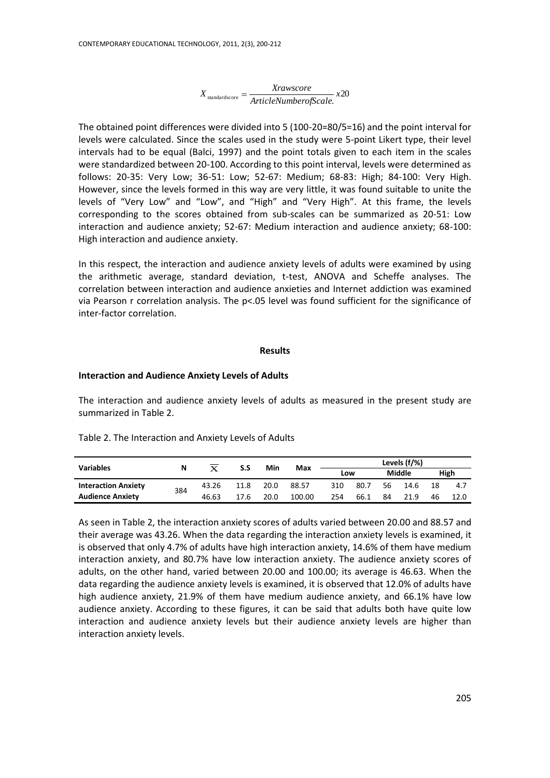$X_{\text{standardscore}} = \frac{Xrawscore}{ArticleNumberofScale} \cdot x20$ 

The obtained point differences were divided into 5 (100-20=80/5=16) and the point interval for levels were calculated. Since the scales used in the study were 5-point Likert type, their level intervals had to be equal (Balci, 1997) and the point totals given to each item in the scales were standardized between 20-100. According to this point interval, levels were determined as follows: 20-35: Very Low; 36-51: Low; 52-67: Medium; 68-83: High; 84-100: Very High. However, since the levels formed in this way are very little, it was found suitable to unite the levels of "Very Low" and "Low", and "High" and "Very High". At this frame, the levels corresponding to the scores obtained from sub-scales can be summarized as 20-51: Low interaction and audience anxiety; 52-67: Medium interaction and audience anxiety; 68-100: High interaction and audience anxiety.

In this respect, the interaction and audience anxiety levels of adults were examined by using the arithmetic average, standard deviation, t-test, ANOVA and Scheffe analyses. The correlation between interaction and audience anxieties and Internet addiction was examined via Pearson r correlation analysis. The p<.05 level was found sufficient for the significance of inter-factor correlation.

#### **Results**

#### **Interaction and Audience Anxiety Levels of Adults**

The interaction and audience anxiety levels of adults as measured in the present study are summarized in Table 2.

| Table 2. The Interaction and Anxiety Levels of Adults |  |
|-------------------------------------------------------|--|
|                                                       |  |

| <b>Variables</b>           |          |       | Min<br>S.S |      |        | Levels (f/%) |      |    |      |    |      |
|----------------------------|----------|-------|------------|------|--------|--------------|------|----|------|----|------|
|                            | Max<br>N | LOW   |            |      | Middle |              | High |    |      |    |      |
| <b>Interaction Anxiety</b> | 384      | 43.26 | 11.8       | 20.0 | 88.57  | 310          | 80.7 | 56 | 14.6 | 18 | 4.7  |
| <b>Audience Anxiety</b>    |          | 46.63 | 17.6       | 20.0 | 100.00 | 254          | 66.1 | 84 | 21.9 | 46 | 12.0 |

As seen in Table 2, the interaction anxiety scores of adults varied between 20.00 and 88.57 and their average was 43.26. When the data regarding the interaction anxiety levels is examined, it is observed that only 4.7% of adults have high interaction anxiety, 14.6% of them have medium interaction anxiety, and 80.7% have low interaction anxiety. The audience anxiety scores of adults, on the other hand, varied between 20.00 and 100.00; its average is 46.63. When the data regarding the audience anxiety levels is examined, it is observed that 12.0% of adults have high audience anxiety, 21.9% of them have medium audience anxiety, and 66.1% have low audience anxiety. According to these figures, it can be said that adults both have quite low interaction and audience anxiety levels but their audience anxiety levels are higher than interaction anxiety levels.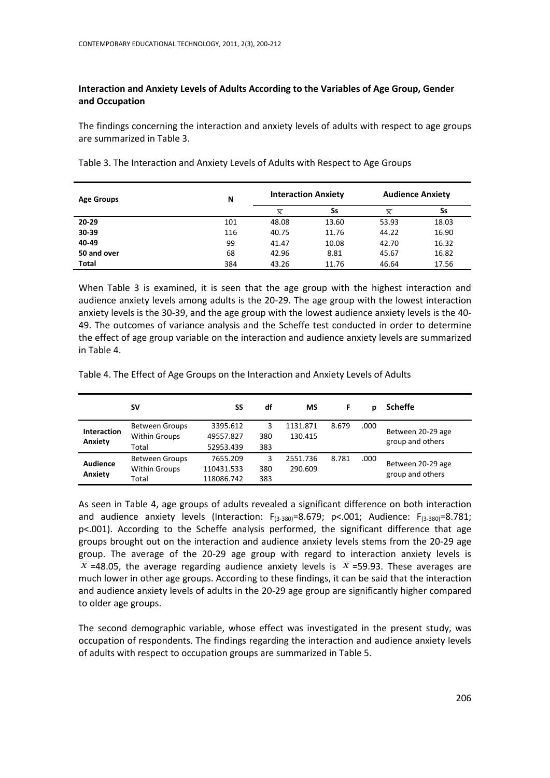# **Interaction and Anxiety Levels of Adults According to the Variables of Age Group, Gender and Occupation**

The findings concerning the interaction and anxiety levels of adults with respect to age groups are summarized in Table 3.

| <b>Age Groups</b> | N   |          | <b>Interaction Anxiety</b> | <b>Audience Anxiety</b> |       |  |  |
|-------------------|-----|----------|----------------------------|-------------------------|-------|--|--|
|                   |     | $\bf{x}$ | Ss                         | $\bf{x}$                | Ss    |  |  |
| 20-29             | 101 | 48.08    | 13.60                      | 53.93                   | 18.03 |  |  |
| 30-39             | 116 | 40.75    | 11.76                      | 44.22                   | 16.90 |  |  |
| 40-49             | 99  | 41.47    | 10.08                      | 42.70                   | 16.32 |  |  |
| 50 and over       | 68  | 42.96    | 8.81                       | 45.67                   | 16.82 |  |  |
| Total             | 384 | 43.26    | 11.76                      | 46.64                   | 17.56 |  |  |

Table 3. The Interaction and Anxiety Levels of Adults with Respect to Age Groups

When Table 3 is examined, it is seen that the age group with the highest interaction and audience anxiety levels among adults is the 20-29. The age group with the lowest interaction anxiety levels is the 30-39, and the age group with the lowest audience anxiety levels is the 40- 49. The outcomes of variance analysis and the Scheffe test conducted in order to determine the effect of age group variable on the interaction and audience anxiety levels are summarized in Table 4.

Table 4. The Effect of Age Groups on the Interaction and Anxiety Levels of Adults

|                               | sv                                            | SS                    | df       | МS                  |       | р    | <b>Scheffe</b>                        |
|-------------------------------|-----------------------------------------------|-----------------------|----------|---------------------|-------|------|---------------------------------------|
| <b>Interaction</b><br>Anxiety | <b>Between Groups</b><br><b>Within Groups</b> | 3395.612<br>49557.827 | 3<br>380 | 1131.871<br>130.415 | 8.679 | .000 | Between 20-29 age<br>group and others |
|                               | Total                                         | 52953.439             | 383      |                     |       |      |                                       |
| <b>Audience</b>               | <b>Between Groups</b>                         | 7655.209              | 3        | 2551.736            | 8.781 | .000 | Between 20-29 age                     |
| Anxiety                       | <b>Within Groups</b>                          | 110431.533            | 380      | 290.609             |       |      | group and others                      |
|                               | Total                                         | 118086.742            | 383      |                     |       |      |                                       |

As seen in Table 4, age groups of adults revealed a significant difference on both interaction and audience anxiety levels (Interaction:  $F_{(3-380)}=8.679$ ; p<.001; Audience:  $F_{(3-380)}=8.781$ ; p<.001). According to the Scheffe analysis performed, the significant difference that age groups brought out on the interaction and audience anxiety levels stems from the 20-29 age group. The average of the 20-29 age group with regard to interaction anxiety levels is  $\overline{X}$  =48.05, the average regarding audience anxiety levels is  $\overline{X}$  =59.93. These averages are much lower in other age groups. According to these findings, it can be said that the interaction and audience anxiety levels of adults in the 20-29 age group are significantly higher compared to older age groups.

The second demographic variable, whose effect was investigated in the present study, was occupation of respondents. The findings regarding the interaction and audience anxiety levels of adults with respect to occupation groups are summarized in Table 5.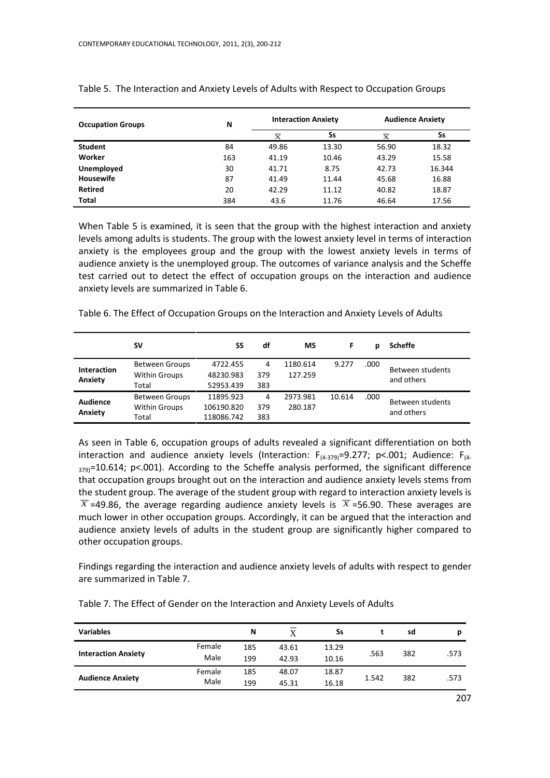| <b>Occupation Groups</b> | N   |          | <b>Interaction Anxiety</b> | <b>Audience Anxiety</b> |        |  |
|--------------------------|-----|----------|----------------------------|-------------------------|--------|--|
|                          |     | $\bf{x}$ | Ss                         | $\mathbf{x}$            | Ss     |  |
| <b>Student</b>           | 84  | 49.86    | 13.30                      | 56.90                   | 18.32  |  |
| Worker                   | 163 | 41.19    | 10.46                      | 43.29                   | 15.58  |  |
| Unemployed               | 30  | 41.71    | 8.75                       | 42.73                   | 16.344 |  |
| <b>Housewife</b>         | 87  | 41.49    | 11.44                      | 45.68                   | 16.88  |  |
| <b>Retired</b>           | 20  | 42.29    | 11.12                      | 40.82                   | 18.87  |  |
| <b>Total</b>             | 384 | 43.6     | 11.76                      | 46.64                   | 17.56  |  |

Table 5. The Interaction and Anxiety Levels of Adults with Respect to Occupation Groups

When Table 5 is examined, it is seen that the group with the highest interaction and anxiety levels among adults is students. The group with the lowest anxiety level in terms of interaction anxiety is the employees group and the group with the lowest anxiety levels in terms of audience anxiety is the unemployed group. The outcomes of variance analysis and the Scheffe test carried out to detect the effect of occupation groups on the interaction and audience anxiety levels are summarized in Table 6.

Table 6. The Effect of Occupation Groups on the Interaction and Anxiety Levels of Adults

|                               | sv                                                     | SS                                    | df              | МS                  | F      |      | <b>Scheffe</b>                 |
|-------------------------------|--------------------------------------------------------|---------------------------------------|-----------------|---------------------|--------|------|--------------------------------|
| <b>Interaction</b><br>Anxiety | <b>Between Groups</b><br><b>Within Groups</b><br>Total | 4722.455<br>48230.983<br>52953.439    | 4<br>379<br>383 | 1180.614<br>127.259 | 9.277  | .000 | Between students<br>and others |
| Audience<br>Anxiety           | <b>Between Groups</b><br><b>Within Groups</b><br>Total | 11895.923<br>106190.820<br>118086.742 | 4<br>379<br>383 | 2973.981<br>280.187 | 10.614 | .000 | Between students<br>and others |

As seen in Table 6, occupation groups of adults revealed a significant differentiation on both interaction and audience anxiety levels (Interaction:  $F_{(4-379)}=9.277$ ; p<.001; Audience:  $F_{(4-479)}=9.277$  $_{379}$ =10.614; p<.001). According to the Scheffe analysis performed, the significant difference that occupation groups brought out on the interaction and audience anxiety levels stems from the student group. The average of the student group with regard to interaction anxiety levels is  $\overline{X}$  =49.86, the average regarding audience anxiety levels is  $\overline{X}$  =56.90. These averages are much lower in other occupation groups. Accordingly, it can be argued that the interaction and audience anxiety levels of adults in the student group are significantly higher compared to other occupation groups.

Findings regarding the interaction and audience anxiety levels of adults with respect to gender are summarized in Table 7.

| <b>Variables</b>           |                | N          | X              | Ss             |       | sd  |      |
|----------------------------|----------------|------------|----------------|----------------|-------|-----|------|
| <b>Interaction Anxiety</b> | Female<br>Male | 185<br>199 | 43.61<br>42.93 | 13.29<br>10.16 | .563  | 382 | .573 |
|                            | Female         | 185        | 48.07          | 18.87          |       |     |      |
| <b>Audience Anxiety</b>    | Male           | 199        | 45.31          | 16.18          | 1.542 | 382 | .573 |

Table 7. The Effect of Gender on the Interaction and Anxiety Levels of Adults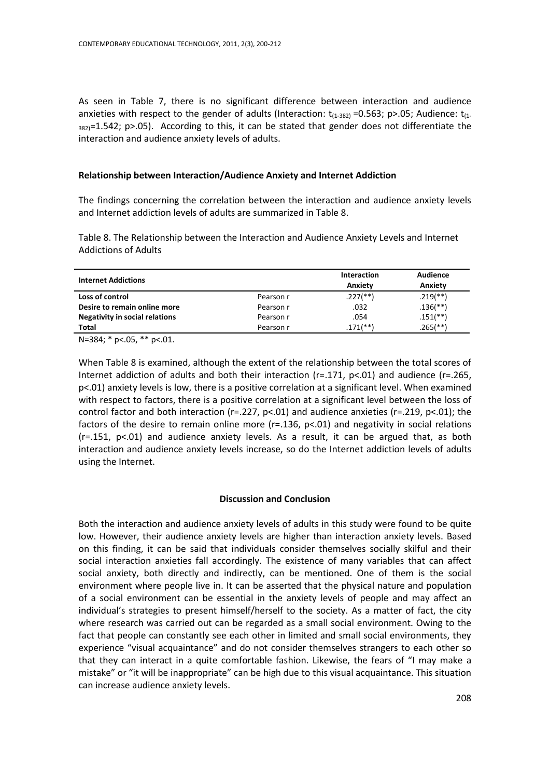As seen in Table 7, there is no significant difference between interaction and audience anxieties with respect to the gender of adults (Interaction:  $t_{(1-382)}$  =0.563; p>.05; Audience:  $t_{(1-1282)}$  $382$ <sup>=1.542; p>.05).</sup> According to this, it can be stated that gender does not differentiate the interaction and audience anxiety levels of adults.

### **Relationship between Interaction/Audience Anxiety and Internet Addiction**

The findings concerning the correlation between the interaction and audience anxiety levels and Internet addiction levels of adults are summarized in Table 8.

Table 8. The Relationship between the Interaction and Audience Anxiety Levels and Internet Addictions of Adults

| <b>Internet Addictions</b>            |           | Interaction<br>Anxiety | Audience<br>Anxiety      |
|---------------------------------------|-----------|------------------------|--------------------------|
| Loss of control                       | Pearson r | $.227$ (**)            | $.219$ <sup>**</sup> )   |
| Desire to remain online more          | Pearson r | .032                   | $.136$ <sup>(**)</sup> ) |
| <b>Negativity in social relations</b> | Pearson r | .054                   | $.151$ <sup>**</sup> )   |
| <b>Total</b>                          | Pearson r | $.171$ (**)            | $.265$ (**)              |

N=384; \* p<.05, \*\* p<.01.

When Table 8 is examined, although the extent of the relationship between the total scores of Internet addiction of adults and both their interaction ( $r=.171$ ,  $p<.01$ ) and audience ( $r=.265$ , p<.01) anxiety levels is low, there is a positive correlation at a significant level. When examined with respect to factors, there is a positive correlation at a significant level between the loss of control factor and both interaction ( $r=227$ ,  $p<01$ ) and audience anxieties ( $r=219$ ,  $p<01$ ); the factors of the desire to remain online more  $(r=.136, p<.01)$  and negativity in social relations  $(r=.151, p<.01)$  and audience anxiety levels. As a result, it can be argued that, as both interaction and audience anxiety levels increase, so do the Internet addiction levels of adults using the Internet.

#### **Discussion and Conclusion**

Both the interaction and audience anxiety levels of adults in this study were found to be quite low. However, their audience anxiety levels are higher than interaction anxiety levels. Based on this finding, it can be said that individuals consider themselves socially skilful and their social interaction anxieties fall accordingly. The existence of many variables that can affect social anxiety, both directly and indirectly, can be mentioned. One of them is the social environment where people live in. It can be asserted that the physical nature and population of a social environment can be essential in the anxiety levels of people and may affect an individual's strategies to present himself/herself to the society. As a matter of fact, the city where research was carried out can be regarded as a small social environment. Owing to the fact that people can constantly see each other in limited and small social environments, they experience "visual acquaintance" and do not consider themselves strangers to each other so that they can interact in a quite comfortable fashion. Likewise, the fears of "I may make a mistake" or "it will be inappropriate" can be high due to this visual acquaintance. This situation can increase audience anxiety levels.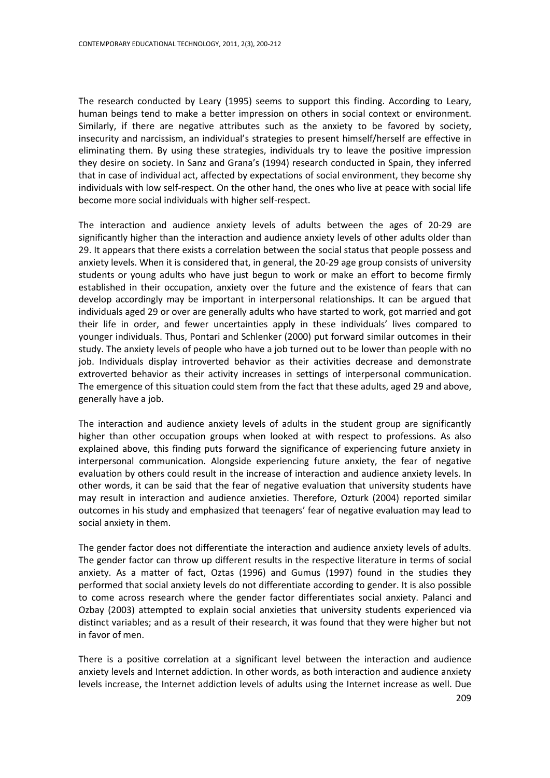The research conducted by Leary (1995) seems to support this finding. According to Leary, human beings tend to make a better impression on others in social context or environment. Similarly, if there are negative attributes such as the anxiety to be favored by society, insecurity and narcissism, an individual's strategies to present himself/herself are effective in eliminating them. By using these strategies, individuals try to leave the positive impression they desire on society. In Sanz and Grana's (1994) research conducted in Spain, they inferred that in case of individual act, affected by expectations of social environment, they become shy individuals with low self-respect. On the other hand, the ones who live at peace with social life become more social individuals with higher self-respect.

The interaction and audience anxiety levels of adults between the ages of 20-29 are significantly higher than the interaction and audience anxiety levels of other adults older than 29. It appears that there exists a correlation between the social status that people possess and anxiety levels. When it is considered that, in general, the 20-29 age group consists of university students or young adults who have just begun to work or make an effort to become firmly established in their occupation, anxiety over the future and the existence of fears that can develop accordingly may be important in interpersonal relationships. It can be argued that individuals aged 29 or over are generally adults who have started to work, got married and got their life in order, and fewer uncertainties apply in these individuals' lives compared to younger individuals. Thus, Pontari and Schlenker (2000) put forward similar outcomes in their study. The anxiety levels of people who have a job turned out to be lower than people with no job. Individuals display introverted behavior as their activities decrease and demonstrate extroverted behavior as their activity increases in settings of interpersonal communication. The emergence of this situation could stem from the fact that these adults, aged 29 and above, generally have a job.

The interaction and audience anxiety levels of adults in the student group are significantly higher than other occupation groups when looked at with respect to professions. As also explained above, this finding puts forward the significance of experiencing future anxiety in interpersonal communication. Alongside experiencing future anxiety, the fear of negative evaluation by others could result in the increase of interaction and audience anxiety levels. In other words, it can be said that the fear of negative evaluation that university students have may result in interaction and audience anxieties. Therefore, Ozturk (2004) reported similar outcomes in his study and emphasized that teenagers' fear of negative evaluation may lead to social anxiety in them.

The gender factor does not differentiate the interaction and audience anxiety levels of adults. The gender factor can throw up different results in the respective literature in terms of social anxiety. As a matter of fact, Oztas (1996) and Gumus (1997) found in the studies they performed that social anxiety levels do not differentiate according to gender. It is also possible to come across research where the gender factor differentiates social anxiety. Palanci and Ozbay (2003) attempted to explain social anxieties that university students experienced via distinct variables; and as a result of their research, it was found that they were higher but not in favor of men.

There is a positive correlation at a significant level between the interaction and audience anxiety levels and Internet addiction. In other words, as both interaction and audience anxiety levels increase, the Internet addiction levels of adults using the Internet increase as well. Due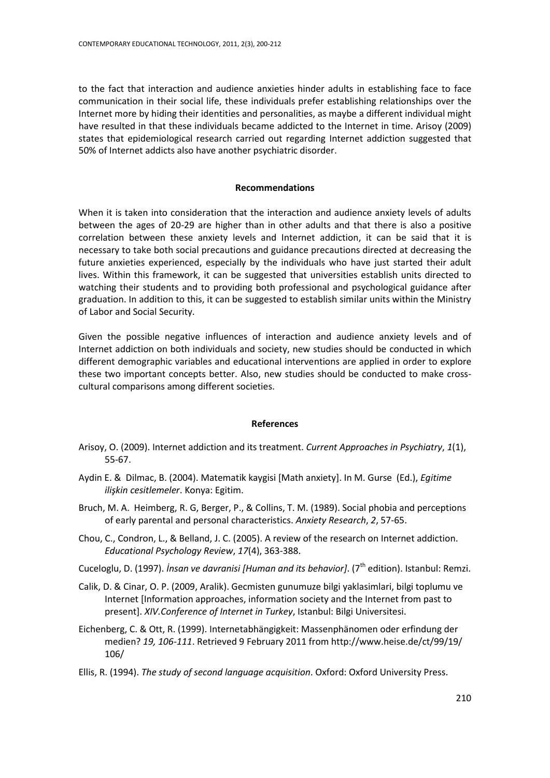to the fact that interaction and audience anxieties hinder adults in establishing face to face communication in their social life, these individuals prefer establishing relationships over the Internet more by hiding their identities and personalities, as maybe a different individual might have resulted in that these individuals became addicted to the Internet in time. Arisoy (2009) states that epidemiological research carried out regarding Internet addiction suggested that 50% of Internet addicts also have another psychiatric disorder.

# **Recommendations**

When it is taken into consideration that the interaction and audience anxiety levels of adults between the ages of 20-29 are higher than in other adults and that there is also a positive correlation between these anxiety levels and Internet addiction, it can be said that it is necessary to take both social precautions and guidance precautions directed at decreasing the future anxieties experienced, especially by the individuals who have just started their adult lives. Within this framework, it can be suggested that universities establish units directed to watching their students and to providing both professional and psychological guidance after graduation. In addition to this, it can be suggested to establish similar units within the Ministry of Labor and Social Security.

Given the possible negative influences of interaction and audience anxiety levels and of Internet addiction on both individuals and society, new studies should be conducted in which different demographic variables and educational interventions are applied in order to explore these two important concepts better. Also, new studies should be conducted to make crosscultural comparisons among different societies.

# **References**

- Arisoy, O. (2009). Internet addiction and its treatment. *Current Approaches in Psychiatry*, *1*(1), 55-67.
- Aydin E. & Dilmac, B. (2004). Matematik kaygisi [Math anxiety]. In M. Gurse (Ed.), *Egitime ilişkin cesitlemeler*. Konya: Egitim.
- Bruch, M. A. Heimberg, R. G, Berger, P., & Collins, T. M. (1989). Social phobia and perceptions of early parental and personal characteristics. *Anxiety Research*, *2*, 57-65.
- Chou, C., Condron, L., & Belland, J. C. (2005). A review of the research on Internet addiction. *Educational Psychology Review*, *17*(4), 363-388.
- Cuceloglu, D. (1997). *İnsan ve davranisi [Human and its behavior]*. (7th edition). Istanbul: Remzi.
- Calik, D. & Cinar, O. P. (2009, Aralik). Gecmisten gunumuze bilgi yaklasimlari, bilgi toplumu ve Internet [Information approaches, information society and the Internet from past to present]. *XIV.Conference of Internet in Turkey*, Istanbul: Bilgi Universitesi.
- Eichenberg, C. & Ott, R. (1999). Internetabhängigkeit: Massenphänomen oder erfindung der medien? *19, 106-111*. Retrieved 9 February 2011 fro[m http://www.heise.de/ct/99/19/](http://www.heise.de/ct/99/19/) 106/
- Ellis, R. (1994). *The study of second language acquisition*. Oxford: Oxford University Press.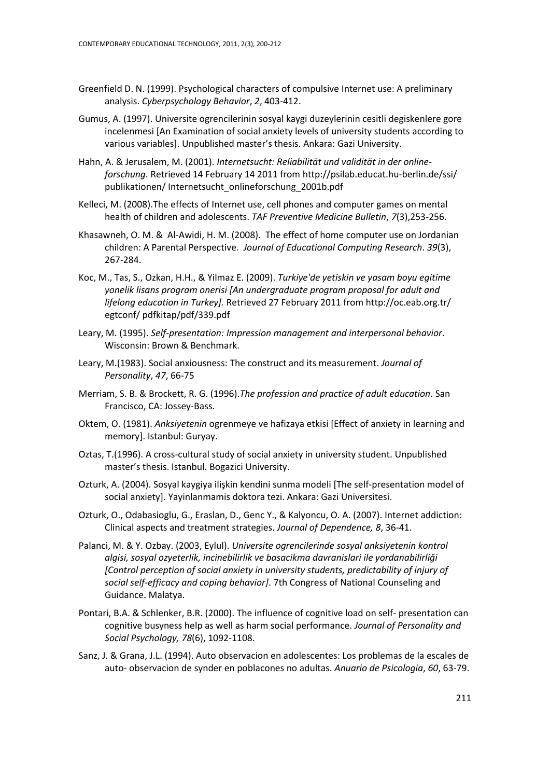- Greenfield D. N. (1999). Psychological characters of compulsive Internet use: A preliminary analysis. *Cyberpsychology Behavior*, *2*, 403-412.
- Gumus, A. (1997). Universite ogrencilerinin sosyal kaygi duzeylerinin cesitli degiskenlere gore incelenmesi [An Examination of social anxiety levels of university students according to various variables]. Unpublished master's thesis. Ankara: Gazi University.
- Hahn, A. & Jerusalem, M. (2001). *Internetsucht: Reliabilität und validität in der onlineforschung*. Retrieved 14 February 14 2011 fro[m http://psilab.educat.hu-berlin.de/ssi/](http://psilab.educat.hu-berlin.de/ssi/) publikationen/ Internetsucht\_onlineforschung\_2001b.pdf
- Kelleci, M. (2008).The effects of Internet use, cell phones and computer games on mental health of children and adolescents. *TAF Preventive Medicine Bulletin*, *7*(3),253-256.
- Khasawneh, O. M. & Al-Awidi, H. M. (2008). The effect of home computer use on Jordanian children: A Parental Perspective. *Journal of Educational Computing Research*. *39*(3), 267-284.
- Koc, M., Tas, S., Ozkan, H.H., & Yilmaz E. (2009). *Turkiye'de yetiskin ve yasam boyu egitime yonelik lisans program onerisi [An undergraduate program proposal for adult and lifelong education in Turkey].* Retrieved 27 February 2011 from<http://oc.eab.org.tr/> egtconf/ pdfkitap/pdf/339.pdf
- Leary, M. (1995). *Self-presentation: Impression management and interpersonal behavior*. Wisconsin: Brown & Benchmark.
- Leary, M.(1983). Social anxiousness: The construct and its measurement. *Journal of Personality*, *47*, 66-75
- Merriam, S. B. & Brockett, R. G. (1996).*The profession and practice of adult education*. San Francisco, CA: Jossey-Bass.
- Oktem, O. (1981). *Anksiyetenin* ogrenmeye ve hafizaya etkisi [Effect of anxiety in learning and memory]. Istanbul: Guryay.
- Oztas, T.(1996). A cross-cultural study of social anxiety in university student. Unpublished master's thesis. Istanbul. Bogazici University.
- Ozturk, A. (2004). Sosyal kaygiya ilişkin kendini sunma modeli [The self-presentation model of social anxiety]. Yayinlanmamis doktora tezi. Ankara: Gazi Universitesi.
- Ozturk, O., Odabasioglu, G., Eraslan, D., Genc Y., & Kalyoncu, O. A. (2007). Internet addiction: Clinical aspects and treatment strategies. *Journal of Dependence, 8*, 36-41.
- Palanci, M. & Y. Ozbay. (2003, Eylul). *Universite ogrencilerinde sosyal anksiyetenin kontrol algisi, sosyal ozyeterlik, incinebilirlik ve basacikma davranislari ile yordanabilirliği [Control perception of social anxiety in university students, predictability of injury of social self-efficacy and coping behavior]*. 7th Congress of National Counseling and Guidance. Malatya.
- Pontari, B.A. & Schlenker, B.R. (2000). The influence of cognitive load on self- presentation can cognitive busyness help as well as harm social performance. *Journal of Personality and Social Psychology, 78*(6), 1092-1108.
- Sanz, J. & Grana, J.L. (1994). Auto observacion en adolescentes: Los problemas de la escales de auto- observacion de synder en poblacones no adultas. *Anuario de Psicologia*, *60*, 63-79.